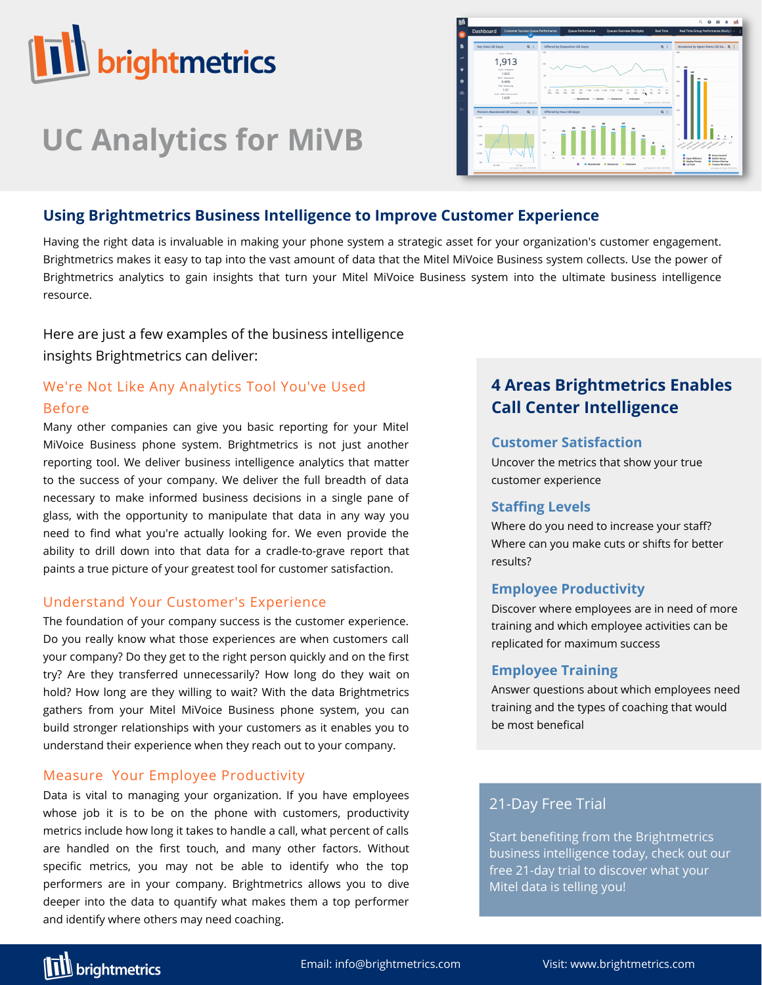

# **UC Analytics for MiVB**



# **Using Brightmetrics Business Intelligence to Improve Customer Experience**

Having the right data is invaluable in making your phone system a strategic asset for your organization's customer engagement. Brightmetrics makes it easy to tap into the vast amount of data that the Mitel MiVoice Business system collects. Use the power of Brightmetrics analytics to gain insights that turn your Mitel MiVoice Business system into the ultimate business intelligence resource.

Here are just a few examples of the business intelligence insights Brightmetrics can deliver:

# We're Not Like Any Analytics Tool You've Used Before

Many other companies can give you basic reporting for your Mitel MiVoice Business phone system. Brightmetrics is not just another reporting tool. We deliver business intelligence analytics that matter to the success of your company. We deliver the full breadth of data necessary to make informed business decisions in a single pane of glass, with the opportunity to manipulate that data in any way you need to find what you're actually looking for. We even provide the ability to drill down into that data for a cradle-to-grave report that paints a true picture of your greatest tool for customer satisfaction.

## Understand Your Customer's Experience

The foundation of your company success is the customer experience. Do you really know what those experiences are when customers call your company? Do they get to the right person quickly and on the first try? Are they transferred unnecessarily? How long do they wait on hold? How long are they willing to wait? With the data Brightmetrics gathers from your Mitel MiVoice Business phone system, you can build stronger relationships with your customers as it enables you to understand their experience when they reach out to your company.

# Measure Your Employee Productivity

Data is vital to managing your organization. If you have employees whose job it is to be on the phone with customers, productivity metrics include how long it takes to handle a call, what percent of calls are handled on the first touch, and many other factors. Without specific metrics, you may not be able to identify who the top performers are in your company. Brightmetrics allows you to dive deeper into the data to quantify what makes them a top performer and identify where others may need coaching.

# **4 Areas Brightmetrics Enables Call Center Intelligence**

## **Customer Satisfaction**

Uncover the metrics that show your true customer experience

## **Staffing Levels**

Where do you need to increase your staff? Where can you make cuts or shifts for better results?

# **Employee Productivity**

Discover where employees are in need of more training and which employee activities can be replicated for maximum success

## **Employee Training**

Answer questions about which employees need training and the types of coaching that would be most benefical

# 21-Day Free Trial

Start benefiting from the [Brightmetrics](https://webapp.brightmetrics.com/UI-2/pages/Register.aspx) business intelligence today, check out our free 21-day trial to discover what your Mitel data is telling you!

**TIL** brightmetrics

Email: info@brightmetrics.com Visit: www.brightmetrics.com